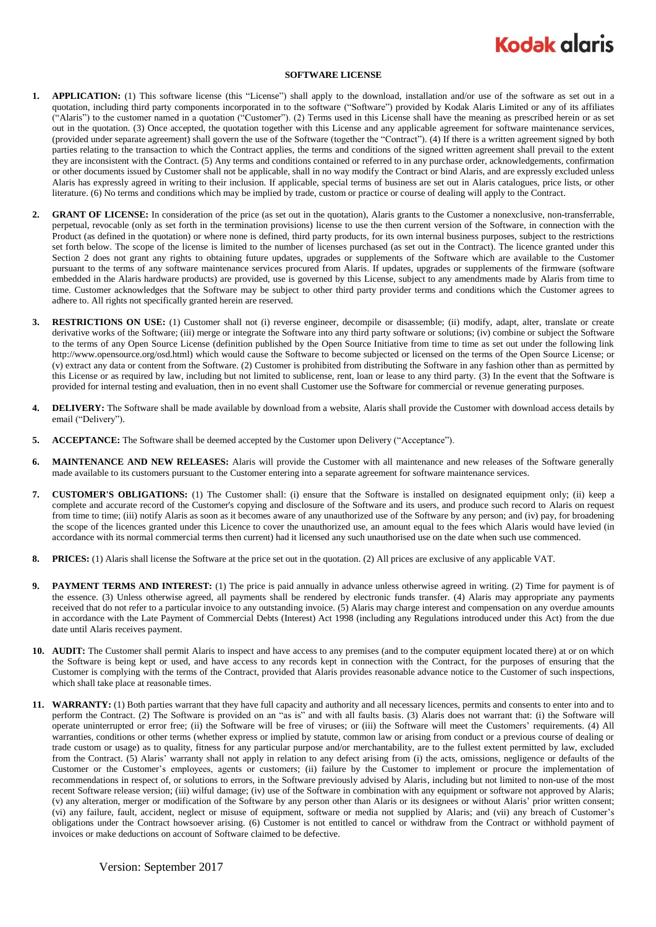## **Kodak glgris**

## **SOFTWARE LICENSE**

- **1. APPLICATION:** (1) This software license (this "License") shall apply to the download, installation and/or use of the software as set out in a quotation, including third party components incorporated in to the software ("Software") provided by Kodak Alaris Limited or any of its affiliates ("Alaris") to the customer named in a quotation ("Customer"). (2) Terms used in this License shall have the meaning as prescribed herein or as set out in the quotation. (3) Once accepted, the quotation together with this License and any applicable agreement for software maintenance services, (provided under separate agreement) shall govern the use of the Software (together the "Contract"). (4) If there is a written agreement signed by both parties relating to the transaction to which the Contract applies, the terms and conditions of the signed written agreement shall prevail to the extent they are inconsistent with the Contract. (5) Any terms and conditions contained or referred to in any purchase order, acknowledgements, confirmation or other documents issued by Customer shall not be applicable, shall in no way modify the Contract or bind Alaris, and are expressly excluded unless Alaris has expressly agreed in writing to their inclusion. If applicable, special terms of business are set out in Alaris catalogues, price lists, or other literature. (6) No terms and conditions which may be implied by trade, custom or practice or course of dealing will apply to the Contract.
- **2. GRANT OF LICENSE:** In consideration of the price (as set out in the quotation), Alaris grants to the Customer a nonexclusive, non-transferrable, perpetual, revocable (only as set forth in the termination provisions) license to use the then current version of the Software, in connection with the Product (as defined in the quotation) or where none is defined, third party products, for its own internal business purposes, subject to the restrictions set forth below. The scope of the license is limited to the number of licenses purchased (as set out in the Contract). The licence granted under this Section 2 does not grant any rights to obtaining future updates, upgrades or supplements of the Software which are available to the Customer pursuant to the terms of any software maintenance services procured from Alaris. If updates, upgrades or supplements of the firmware (software embedded in the Alaris hardware products) are provided, use is governed by this License, subject to any amendments made by Alaris from time to time. Customer acknowledges that the Software may be subject to other third party provider terms and conditions which the Customer agrees to adhere to. All rights not specifically granted herein are reserved.
- **3. RESTRICTIONS ON USE:** (1) Customer shall not (i) reverse engineer, decompile or disassemble; (ii) modify, adapt, alter, translate or create derivative works of the Software; (iii) merge or integrate the Software into any third party software or solutions; (iv) combine or subject the Software to the terms of any Open Source License (definition published by the Open Source Initiative from time to time as set out under the following link http://www.opensource.org/osd.html) which would cause the Software to become subjected or licensed on the terms of the Open Source License; or (v) extract any data or content from the Software. (2) Customer is prohibited from distributing the Software in any fashion other than as permitted by this License or as required by law, including but not limited to sublicense, rent, loan or lease to any third party. (3) In the event that the Software is provided for internal testing and evaluation, then in no event shall Customer use the Software for commercial or revenue generating purposes.
- **4. DELIVERY:** The Software shall be made available by download from a website, Alaris shall provide the Customer with download access details by email ("Delivery").
- **5. ACCEPTANCE:** The Software shall be deemed accepted by the Customer upon Delivery ("Acceptance").
- **6. MAINTENANCE AND NEW RELEASES:** Alaris will provide the Customer with all maintenance and new releases of the Software generally made available to its customers pursuant to the Customer entering into a separate agreement for software maintenance services.
- **7. CUSTOMER'S OBLIGATIONS:** (1) The Customer shall: (i) ensure that the Software is installed on designated equipment only; (ii) keep a complete and accurate record of the Customer's copying and disclosure of the Software and its users, and produce such record to Alaris on request from time to time; (iii) notify Alaris as soon as it becomes aware of any unauthorized use of the Software by any person; and (iv) pay, for broadening the scope of the licences granted under this Licence to cover the unauthorized use, an amount equal to the fees which Alaris would have levied (in accordance with its normal commercial terms then current) had it licensed any such unauthorised use on the date when such use commenced.
- **8. PRICES:** (1) Alaris shall license the Software at the price set out in the quotation. (2) All prices are exclusive of any applicable VAT.
- **9. PAYMENT TERMS AND INTEREST:** (1) The price is paid annually in advance unless otherwise agreed in writing. (2) Time for payment is of the essence. (3) Unless otherwise agreed, all payments shall be rendered by electronic funds transfer. (4) Alaris may appropriate any payments received that do not refer to a particular invoice to any outstanding invoice. (5) Alaris may charge interest and compensation on any overdue amounts in accordance with the Late Payment of Commercial Debts (Interest) Act 1998 (including any Regulations introduced under this Act) from the due date until Alaris receives payment.
- **10. AUDIT:** The Customer shall permit Alaris to inspect and have access to any premises (and to the computer equipment located there) at or on which the Software is being kept or used, and have access to any records kept in connection with the Contract, for the purposes of ensuring that the Customer is complying with the terms of the Contract, provided that Alaris provides reasonable advance notice to the Customer of such inspections, which shall take place at reasonable times.
- **11. WARRANTY:** (1) Both parties warrant that they have full capacity and authority and all necessary licences, permits and consents to enter into and to perform the Contract. (2) The Software is provided on an "as is" and with all faults basis. (3) Alaris does not warrant that: (i) the Software will operate uninterrupted or error free; (ii) the Software will be free of viruses; or (iii) the Software will meet the Customers' requirements. (4) All warranties, conditions or other terms (whether express or implied by statute, common law or arising from conduct or a previous course of dealing or trade custom or usage) as to quality, fitness for any particular purpose and/or merchantability, are to the fullest extent permitted by law, excluded from the Contract. (5) Alaris' warranty shall not apply in relation to any defect arising from (i) the acts, omissions, negligence or defaults of the Customer or the Customer's employees, agents or customers; (ii) failure by the Customer to implement or procure the implementation of recommendations in respect of, or solutions to errors, in the Software previously advised by Alaris, including but not limited to non-use of the most recent Software release version; (iii) wilful damage; (iv) use of the Software in combination with any equipment or software not approved by Alaris; (v) any alteration, merger or modification of the Software by any person other than Alaris or its designees or without Alaris' prior written consent; (vi) any failure, fault, accident, neglect or misuse of equipment, software or media not supplied by Alaris; and (vii) any breach of Customer's obligations under the Contract howsoever arising. (6) Customer is not entitled to cancel or withdraw from the Contract or withhold payment of invoices or make deductions on account of Software claimed to be defective.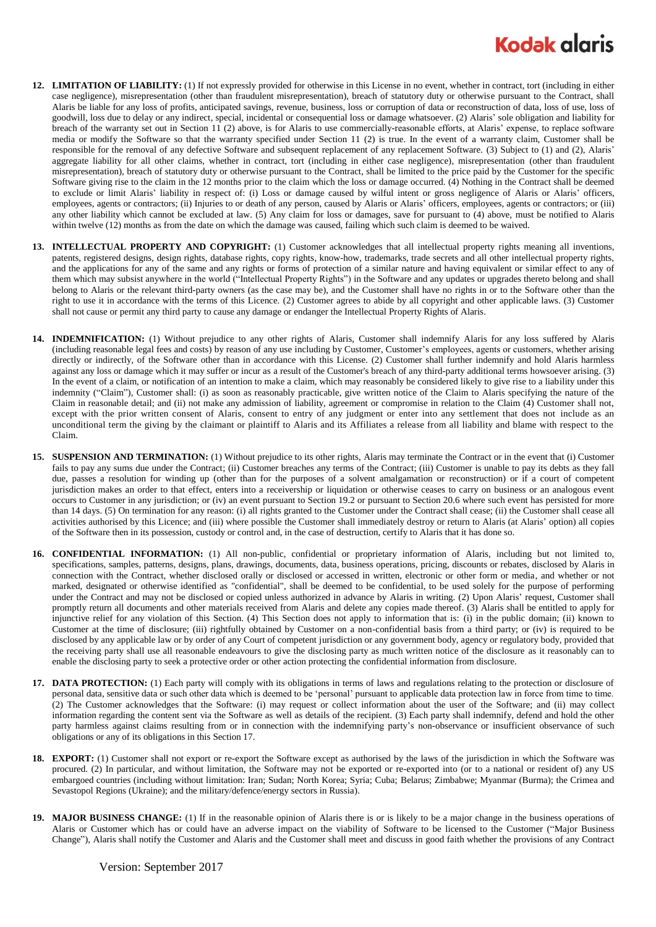## **Kodak glaris**

- **12. LIMITATION OF LIABILITY:** (1) If not expressly provided for otherwise in this License in no event, whether in contract, tort (including in either case negligence), misrepresentation (other than fraudulent misrepresentation), breach of statutory duty or otherwise pursuant to the Contract, shall Alaris be liable for any loss of profits, anticipated savings, revenue, business, loss or corruption of data or reconstruction of data, loss of use, loss of goodwill, loss due to delay or any indirect, special, incidental or consequential loss or damage whatsoever. (2) Alaris' sole obligation and liability for breach of the warranty set out in Section 11 (2) above, is for Alaris to use commercially-reasonable efforts, at Alaris' expense, to replace software media or modify the Software so that the warranty specified under Section 11 (2) is true. In the event of a warranty claim, Customer shall be responsible for the removal of any defective Software and subsequent replacement of any replacement Software. (3) Subject to (1) and (2), Alaris' aggregate liability for all other claims, whether in contract, tort (including in either case negligence), misrepresentation (other than fraudulent misrepresentation), breach of statutory duty or otherwise pursuant to the Contract, shall be limited to the price paid by the Customer for the specific Software giving rise to the claim in the 12 months prior to the claim which the loss or damage occurred. (4) Nothing in the Contract shall be deemed to exclude or limit Alaris' liability in respect of: (i) Loss or damage caused by wilful intent or gross negligence of Alaris or Alaris' officers, employees, agents or contractors; (ii) Injuries to or death of any person, caused by Alaris or Alaris' officers, employees, agents or contractors; or (iii) any other liability which cannot be excluded at law. (5) Any claim for loss or damages, save for pursuant to (4) above, must be notified to Alaris within twelve (12) months as from the date on which the damage was caused, failing which such claim is deemed to be waived.
- **13. INTELLECTUAL PROPERTY AND COPYRIGHT:** (1) Customer acknowledges that all intellectual property rights meaning all inventions, patents, registered designs, design rights, database rights, copy rights, know-how, trademarks, trade secrets and all other intellectual property rights, and the applications for any of the same and any rights or forms of protection of a similar nature and having equivalent or similar effect to any of them which may subsist anywhere in the world ("Intellectual Property Rights") in the Software and any updates or upgrades thereto belong and shall belong to Alaris or the relevant third-party owners (as the case may be), and the Customer shall have no rights in or to the Software other than the right to use it in accordance with the terms of this Licence. (2) Customer agrees to abide by all copyright and other applicable laws. (3) Customer shall not cause or permit any third party to cause any damage or endanger the Intellectual Property Rights of Alaris.
- **14. INDEMNIFICATION:** (1) Without prejudice to any other rights of Alaris, Customer shall indemnify Alaris for any loss suffered by Alaris (including reasonable legal fees and costs) by reason of any use including by Customer, Customer's employees, agents or customers, whether arising directly or indirectly, of the Software other than in accordance with this License. (2) Customer shall further indemnify and hold Alaris harmless against any loss or damage which it may suffer or incur as a result of the Customer's breach of any third-party additional terms howsoever arising. (3) In the event of a claim, or notification of an intention to make a claim, which may reasonably be considered likely to give rise to a liability under this indemnity ("Claim"), Customer shall: (i) as soon as reasonably practicable, give written notice of the Claim to Alaris specifying the nature of the Claim in reasonable detail; and (ii) not make any admission of liability, agreement or compromise in relation to the Claim (4) Customer shall not, except with the prior written consent of Alaris, consent to entry of any judgment or enter into any settlement that does not include as an unconditional term the giving by the claimant or plaintiff to Alaris and its Affiliates a release from all liability and blame with respect to the Claim.
- **15. SUSPENSION AND TERMINATION:** (1) Without prejudice to its other rights, Alaris may terminate the Contract or in the event that (i) Customer fails to pay any sums due under the Contract; (ii) Customer breaches any terms of the Contract; (iii) Customer is unable to pay its debts as they fall due, passes a resolution for winding up (other than for the purposes of a solvent amalgamation or reconstruction) or if a court of competent jurisdiction makes an order to that effect, enters into a receivership or liquidation or otherwise ceases to carry on business or an analogous event occurs to Customer in any jurisdiction; or (iv) an event pursuant to Section 19.2 or pursuant to Section 20.6 where such event has persisted for more than 14 days. (5) On termination for any reason: (i) all rights granted to the Customer under the Contract shall cease; (ii) the Customer shall cease all activities authorised by this Licence; and (iii) where possible the Customer shall immediately destroy or return to Alaris (at Alaris' option) all copies of the Software then in its possession, custody or control and, in the case of destruction, certify to Alaris that it has done so.
- **16. CONFIDENTIAL INFORMATION:** (1) All non-public, confidential or proprietary information of Alaris, including but not limited to, specifications, samples, patterns, designs, plans, drawings, documents, data, business operations, pricing, discounts or rebates, disclosed by Alaris in connection with the Contract, whether disclosed orally or disclosed or accessed in written, electronic or other form or media, and whether or not marked, designated or otherwise identified as "confidential", shall be deemed to be confidential, to be used solely for the purpose of performing under the Contract and may not be disclosed or copied unless authorized in advance by Alaris in writing. (2) Upon Alaris' request, Customer shall promptly return all documents and other materials received from Alaris and delete any copies made thereof. (3) Alaris shall be entitled to apply for injunctive relief for any violation of this Section. (4) This Section does not apply to information that is: (i) in the public domain; (ii) known to Customer at the time of disclosure; (iii) rightfully obtained by Customer on a non-confidential basis from a third party; or (iv) is required to be disclosed by any applicable law or by order of any Court of competent jurisdiction or any government body, agency or regulatory body, provided that the receiving party shall use all reasonable endeavours to give the disclosing party as much written notice of the disclosure as it reasonably can to enable the disclosing party to seek a protective order or other action protecting the confidential information from disclosure.
- **17. DATA PROTECTION:** (1) Each party will comply with its obligations in terms of laws and regulations relating to the protection or disclosure of personal data, sensitive data or such other data which is deemed to be 'personal' pursuant to applicable data protection law in force from time to time. (2) The Customer acknowledges that the Software: (i) may request or collect information about the user of the Software; and (ii) may collect information regarding the content sent via the Software as well as details of the recipient. (3) Each party shall indemnify, defend and hold the other party harmless against claims resulting from or in connection with the indemnifying party's non-observance or insufficient observance of such obligations or any of its obligations in this Section 17.
- **18. EXPORT:** (1) Customer shall not export or re-export the Software except as authorised by the laws of the jurisdiction in which the Software was procured. (2) In particular, and without limitation, the Software may not be exported or re-exported into (or to a national or resident of) any US embargoed countries (including without limitation: Iran; Sudan; North Korea; Syria; Cuba; Belarus; Zimbabwe; Myanmar (Burma); the Crimea and Sevastopol Regions (Ukraine); and the military/defence/energy sectors in Russia).
- **19. MAJOR BUSINESS CHANGE:** (1) If in the reasonable opinion of Alaris there is or is likely to be a major change in the business operations of Alaris or Customer which has or could have an adverse impact on the viability of Software to be licensed to the Customer ("Major Business Change"), Alaris shall notify the Customer and Alaris and the Customer shall meet and discuss in good faith whether the provisions of any Contract